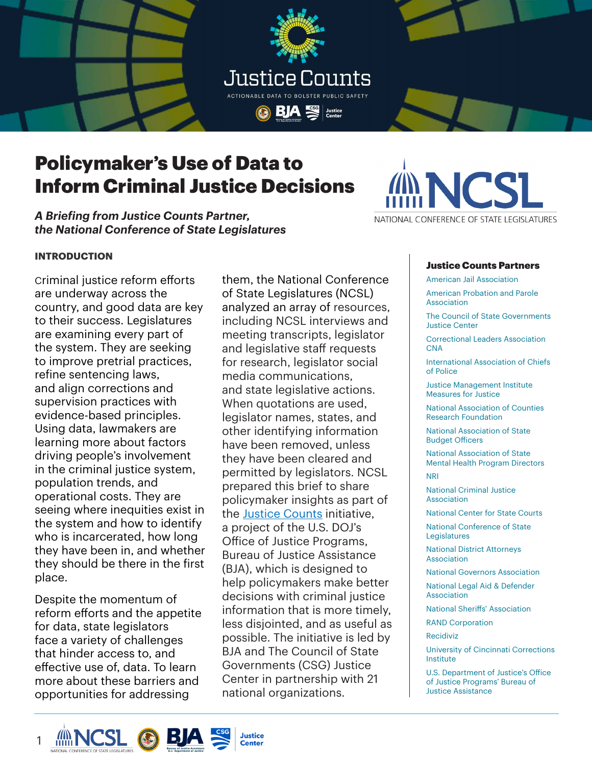



## Policymaker's Use of Data to Inform Criminal Justice Decisions

*A Briefing from Justice Counts Partner, the National Conference of State Legislatures*

# NATIONAL CONFERENCE OF STATE LEGISLATURES

#### **INTRODUCTION**

Criminal justice reform efforts are underway across the country, and good data are key to their success. Legislatures are examining every part of the system. They are seeking to improve pretrial practices, refine sentencing laws, and align corrections and supervision practices with evidence-based principles. Using data, lawmakers are learning more about factors driving people's involvement in the criminal justice system, population trends, and operational costs. They are seeing where inequities exist in the system and how to identify who is incarcerated, how long they have been in, and whether they should be there in the first place.

Despite the momentum of reform efforts and the appetite for data, state legislators face a variety of challenges that hinder access to, and effective use of, data. To learn more about these barriers and opportunities for addressing

them, the National Conference of State Legislatures (NCSL) analyzed an array of resources, including NCSL interviews and meeting transcripts, legislator and legislative staff requests for research, legislator social media communications, and state legislative actions. When quotations are used, legislator names, states, and other identifying information have been removed, unless they have been cleared and permitted by legislators. NCSL prepared this brief to share policymaker insights as part of the [Justice Counts](https://justicecounts.csgjusticecenter.org/) initiative, a project of the U.S. DOJ's Office of Justice Programs, Bureau of Justice Assistance (BJA), which is designed to help policymakers make better decisions with criminal justice information that is more timely, less disjointed, and as useful as possible. The initiative is led by BJA and The Council of State Governments (CSG) Justice Center in partnership with 21 national organizations.

#### Justice Counts Partners

American Jail Association

American Probation and Parole Association

The Council of State Governments Justice Center

Correctional Leaders Association CNA

International Association of Chiefs of Police

Justice Management Institute Measures for Justice

National Association of Counties Research Foundation

National Association of State Budget Officers

National Association of State Mental Health Program Directors NRI

National Criminal Justice Association

National Center for State Courts

National Conference of State Legislatures

National District Attorneys Association

National Governors Association National Legal Aid & Defender Association

National Sheriffs' Association

RAND Corporation

Recidiviz

University of Cincinnati Corrections Institute

U.S. Department of Justice's Office of Justice Programs' Bureau of Justice Assistance

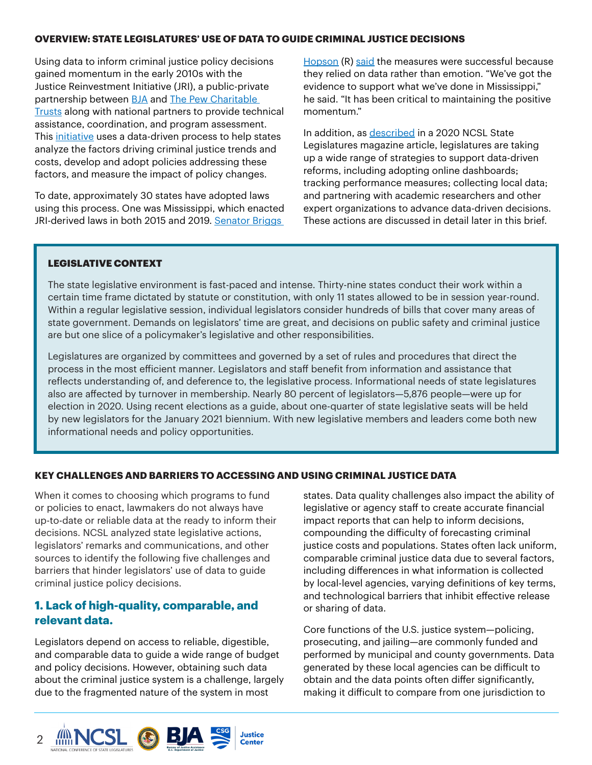#### **OVERVIEW: STATE LEGISLATURES' USE OF DATA TO GUIDE CRIMINAL JUSTICE DECISIONS**

Using data to inform criminal justice policy decisions gained momentum in the early 2010s with the Justice Reinvestment Initiative (JRI), a public-private partnership between **BJA** and **The Pew Charitable** [Trusts](https://www.pewtrusts.org/en/) along with national partners to provide technical assistance, coordination, and program assessment. This initiative uses a data-driven process to help states analyze the factors driving criminal justice trends and costs, develop and adopt policies addressing these factors, and measure the impact of policy changes.

To date, approximately 30 states have adopted laws using this process. One was Mississippi, which enacted JRI-derived laws in both 2015 and 2019. Senator Briggs

[Hopson](http://billstatus.ls.state.ms.us/members/senate/hopson.xml) (R) [said](https://www.ncsl.org/research/civil-and-criminal-justice/criminal-justice-data-analysis-is-driving-justice-reforms-magazine2020.aspx) the measures were successful because they relied on data rather than emotion. "We've got the evidence to support what we've done in Mississippi," he said. "It has been critical to maintaining the positive momentum."

In addition, as [described](https://www.ncsl.org/research/civil-and-criminal-justice/criminal-justice-data-analysis-is-driving-justice-reforms-magazine2020.aspx) in a 2020 NCSL State Legislatures magazine article, legislatures are taking up a wide range of strategies to support data-driven reforms, including adopting online dashboards; tracking performance measures; collecting local data; and partnering with academic researchers and other expert organizations to advance data-driven decisions. These actions are discussed in detail later in this brief.

#### LEGISLATIVE CONTEXT

The state legislative environment is fast-paced and intense. Thirty-nine states conduct their work within a certain time frame dictated by statute or constitution, with only 11 states allowed to be in session year-round. Within a regular legislative session, individual legislators consider hundreds of bills that cover many areas of state government. Demands on legislators' time are great, and decisions on public safety and criminal justice are but one slice of a policymaker's legislative and other responsibilities.

Legislatures are organized by committees and governed by a set of rules and procedures that direct the process in the most efficient manner. Legislators and staff benefit from information and assistance that reflects understanding of, and deference to, the legislative process. Informational needs of state legislatures also are affected by turnover in membership. Nearly 80 percent of legislators—5,876 people—were up for election in 2020. Using recent elections as a guide, about one-quarter of state legislative seats will be held by new legislators for the January 2021 biennium. With new legislative members and leaders come both new informational needs and policy opportunities.

#### **KEY CHALLENGES AND BARRIERS TO ACCESSING AND USING CRIMINAL JUSTICE DATA**

When it comes to choosing which programs to fund or policies to enact, lawmakers do not always have up-to-date or reliable data at the ready to inform their decisions. NCSL analyzed state legislative actions, legislators' remarks and communications, and other sources to identify the following five challenges and barriers that hinder legislators' use of data to guide criminal justice policy decisions.

#### **1. Lack of high-quality, comparable, and relevant data.**

Legislators depend on access to reliable, digestible, and comparable data to guide a wide range of budget and policy decisions. However, obtaining such data about the criminal justice system is a challenge, largely due to the fragmented nature of the system in most

states. Data quality challenges also impact the ability of legislative or agency staff to create accurate financial impact reports that can help to inform decisions, compounding the difficulty of forecasting criminal justice costs and populations. States often lack uniform, comparable criminal justice data due to several factors, including differences in what information is collected by local-level agencies, varying definitions of key terms, and technological barriers that inhibit effective release or sharing of data.

Core functions of the U.S. justice system—policing, prosecuting, and jailing—are commonly funded and performed by municipal and county governments. Data generated by these local agencies can be difficult to obtain and the data points often differ significantly, making it difficult to compare from one jurisdiction to

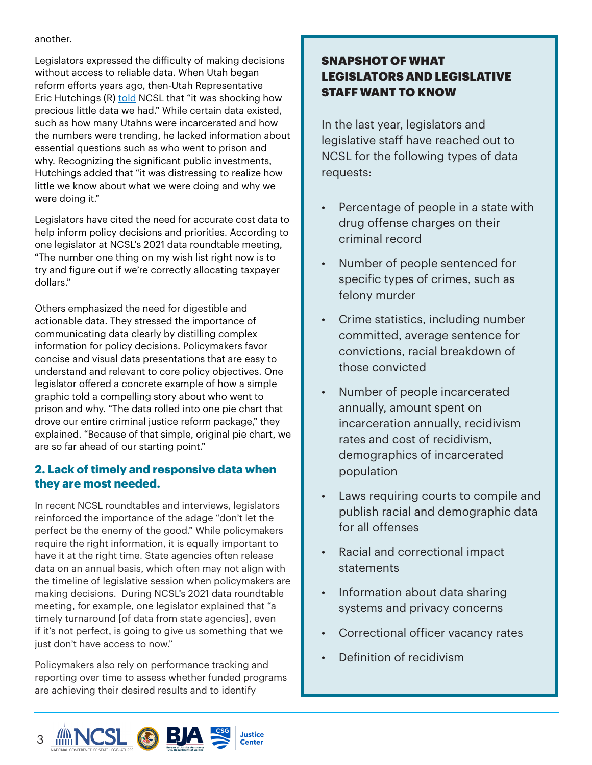#### another.

Legislators expressed the difficulty of making decisions without access to reliable data. When Utah began reform efforts years ago, then-Utah Representative Eric Hutchings (R) [told](https://www.ncsl.org/research/labor-and-employment/ebp-q-a-with-rep-eric-hutchings.aspx) NCSL that "it was shocking how precious little data we had." While certain data existed, such as how many Utahns were incarcerated and how the numbers were trending, he lacked information about essential questions such as who went to prison and why. Recognizing the significant public investments, Hutchings added that "it was distressing to realize how little we know about what we were doing and why we were doing it."

Legislators have cited the need for accurate cost data to help inform policy decisions and priorities. According to one legislator at NCSL's 2021 data roundtable meeting, "The number one thing on my wish list right now is to try and figure out if we're correctly allocating taxpayer dollars."

Others emphasized the need for digestible and actionable data. They stressed the importance of communicating data clearly by distilling complex information for policy decisions. Policymakers favor concise and visual data presentations that are easy to understand and relevant to core policy objectives. One legislator offered a concrete example of how a simple graphic told a compelling story about who went to prison and why. "The data rolled into one pie chart that drove our entire criminal justice reform package," they explained. "Because of that simple, original pie chart, we are so far ahead of our starting point."

## **2. Lack of timely and responsive data when they are most needed.**

In recent NCSL roundtables and interviews, legislators reinforced the importance of the adage "don't let the perfect be the enemy of the good." While policymakers require the right information, it is equally important to have it at the right time. State agencies often release data on an annual basis, which often may not align with the timeline of legislative session when policymakers are making decisions. During NCSL's 2021 data roundtable meeting, for example, one legislator explained that "a timely turnaround [of data from state agencies], even if it's not perfect, is going to give us something that we just don't have access to now."

Policymakers also rely on performance tracking and reporting over time to assess whether funded programs are achieving their desired results and to identify

## SNAPSHOT OF WHAT LEGISLATORS AND LEGISLATIVE STAFF WANT TO KNOW

In the last year, legislators and legislative staff have reached out to NCSL for the following types of data requests:

- Percentage of people in a state with drug offense charges on their criminal record
- Number of people sentenced for specific types of crimes, such as felony murder
- Crime statistics, including number committed, average sentence for convictions, racial breakdown of those convicted
- Number of people incarcerated annually, amount spent on incarceration annually, recidivism rates and cost of recidivism, demographics of incarcerated population
- Laws requiring courts to compile and publish racial and demographic data for all offenses
- Racial and correctional impact statements
- Information about data sharing systems and privacy concerns
- Correctional officer vacancy rates
- Definition of recidivism

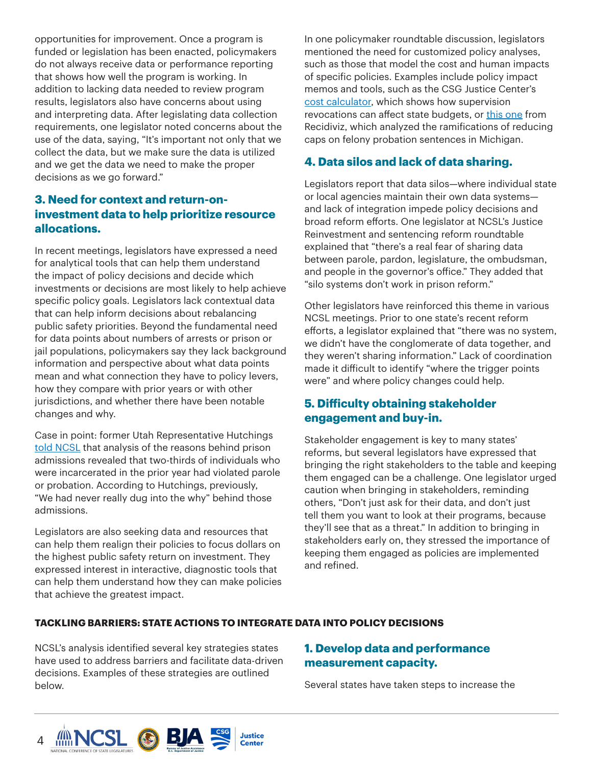opportunities for improvement. Once a program is funded or legislation has been enacted, policymakers do not always receive data or performance reporting that shows how well the program is working. In addition to lacking data needed to review program results, legislators also have concerns about using and interpreting data. After legislating data collection requirements, one legislator noted concerns about the use of the data, saying, "It's important not only that we collect the data, but we make sure the data is utilized and we get the data we need to make the proper decisions as we go forward."

## **3. Need for context and return-oninvestment data to help prioritize resource allocations.**

In recent meetings, legislators have expressed a need for analytical tools that can help them understand the impact of policy decisions and decide which investments or decisions are most likely to help achieve specific policy goals. Legislators lack contextual data that can help inform decisions about rebalancing public safety priorities. Beyond the fundamental need for data points about numbers of arrests or prison or jail populations, policymakers say they lack background information and perspective about what data points mean and what connection they have to policy levers, how they compare with prior years or with other jurisdictions, and whether there have been notable changes and why.

Case in point: former Utah Representative Hutchings [told NCSL](https://www.ncsl.org/research/labor-and-employment/ebp-q-a-with-rep-eric-hutchings.aspx) that analysis of the reasons behind prison admissions revealed that two-thirds of individuals who were incarcerated in the prior year had violated parole or probation. According to Hutchings, previously, "We had never really dug into the why" behind those admissions.

Legislators are also seeking data and resources that can help them realign their policies to focus dollars on the highest public safety return on investment. They expressed interest in interactive, diagnostic tools that can help them understand how they can make policies that achieve the greatest impact.

In one policymaker roundtable discussion, legislators mentioned the need for customized policy analyses, such as those that model the cost and human impacts of specific policies. Examples include policy impact memos and tools, such as the CSG Justice Center's [cost calculator,](https://csgjusticecenter.org/projects/course-corrections/cost-calculator/) which shows how supervision revocations can affect state budgets, or [this one](https://global-uploads.webflow.com/5e7ff048d75a9b3c5df52463/5ffde3e34a49eeaaee58385b_MI_probationcaps.pdf) from Recidiviz, which analyzed the ramifications of reducing caps on felony probation sentences in Michigan.

## **4. Data silos and lack of data sharing.**

Legislators report that data silos—where individual state or local agencies maintain their own data systems and lack of integration impede policy decisions and broad reform efforts. One legislator at NCSL's Justice Reinvestment and sentencing reform roundtable explained that "there's a real fear of sharing data between parole, pardon, legislature, the ombudsman, and people in the governor's office." They added that "silo systems don't work in prison reform."

Other legislators have reinforced this theme in various NCSL meetings. Prior to one state's recent reform efforts, a legislator explained that "there was no system, we didn't have the conglomerate of data together, and they weren't sharing information." Lack of coordination made it difficult to identify "where the trigger points were" and where policy changes could help.

## **5. Difficulty obtaining stakeholder engagement and buy-in.**

Stakeholder engagement is key to many states' reforms, but several legislators have expressed that bringing the right stakeholders to the table and keeping them engaged can be a challenge. One legislator urged caution when bringing in stakeholders, reminding others, "Don't just ask for their data, and don't just tell them you want to look at their programs, because they'll see that as a threat." In addition to bringing in stakeholders early on, they stressed the importance of keeping them engaged as policies are implemented and refined.

#### **TACKLING BARRIERS: STATE ACTIONS TO INTEGRATE DATA INTO POLICY DECISIONS**

NCSL's analysis identified several key strategies states have used to address barriers and facilitate data-driven decisions. Examples of these strategies are outlined below.

## **1. Develop data and performance measurement capacity.**

Several states have taken steps to increase the

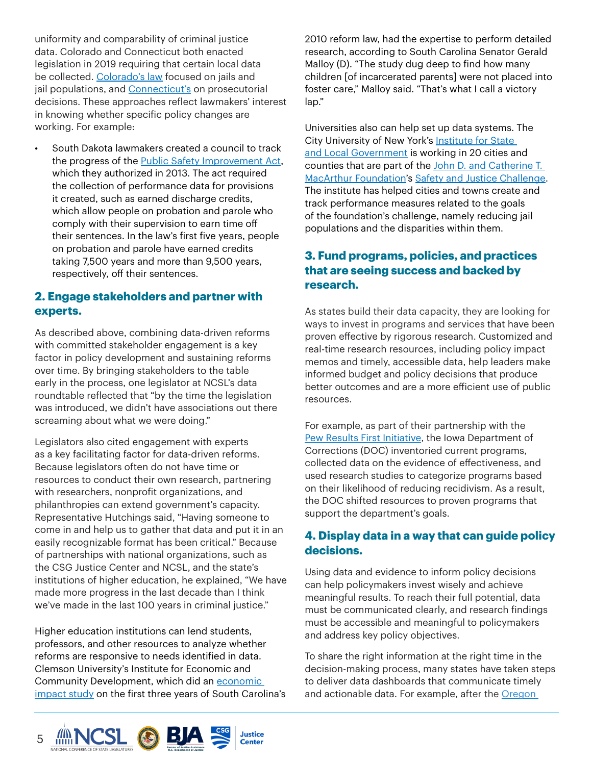uniformity and comparability of criminal justice data. Colorado and Connecticut both enacted legislation in 2019 requiring that certain local data be collected. [Colorado's law](https://leg.colorado.gov/bills/hb19-1297) focused on jails and jail populations, and **Connecticut's** on prosecutorial decisions. These approaches reflect lawmakers' interest in knowing whether specific policy changes are working. For example:

• South Dakota lawmakers created a council to track the progress of the [Public Safety Improvement Act](https://boardsandcommissions.sd.gov/Information.aspx?BoardID=72), which they authorized in 2013. The act required the collection of performance data for provisions it created, such as earned discharge credits, which allow people on probation and parole who comply with their supervision to earn time off their sentences. In the law's first five years, people on probation and parole have earned credits taking 7,500 years and more than 9,500 years, respectively, off their sentences.

## **2. Engage stakeholders and partner with experts.**

As described above, combining data-driven reforms with committed stakeholder engagement is a key factor in policy development and sustaining reforms over time. By bringing stakeholders to the table early in the process, one legislator at NCSL's data roundtable reflected that "by the time the legislation was introduced, we didn't have associations out there screaming about what we were doing."

Legislators also cited engagement with experts as a key facilitating factor for data-driven reforms. Because legislators often do not have time or resources to conduct their own research, partnering with researchers, nonprofit organizations, and philanthropies can extend government's capacity. Representative Hutchings said, "Having someone to come in and help us to gather that data and put it in an easily recognizable format has been critical." Because of partnerships with national organizations, such as the CSG Justice Center and NCSL, and the state's institutions of higher education, he explained, "We have made more progress in the last decade than I think we've made in the last 100 years in criminal justice."

Higher education institutions can lend students, professors, and other resources to analyze whether reforms are responsive to needs identified in data. Clemson University's Institute for Economic and Community Development, which did an economic [impact study](https://www.scstatehouse.gov/citizensinterestpage/SentencingReformOversightCommittee/Reports/SCDPPPSSentencingReformActIMPLANReport.pdf) on the first three years of South Carolina's 2010 reform law, had the expertise to perform detailed research, according to South Carolina Senator Gerald Malloy (D). "The study dug deep to find how many children [of incarcerated parents] were not placed into foster care," Malloy said. "That's what I call a victory lap."

Universities also can help set up data systems. The City University of New York's Institute for State [and Local Government](http://islg.cuny.edu/sites/) is working in 20 cities and counties that are part of the [John D. and Catherine T.](https://www.macfound.org/)  [MacArthur Foundation](https://www.macfound.org/)'s [Safety and Justice Challenge](http://www.safetyandjusticechallenge.org/). The institute has helped cities and towns create and track performance measures related to the goals of the foundation's challenge, namely reducing jail populations and the disparities within them.

## **3. Fund programs, policies, and practices that are seeing success and backed by research.**

As states build their data capacity, they are looking for ways to invest in programs and services that have been proven effective by rigorous research. Customized and real-time research resources, including policy impact memos and timely, accessible data, help leaders make informed budget and policy decisions that produce better outcomes and are a more efficient use of public resources.

For example, as part of their partnership with the [Pew Results First Initiative,](https://www.pewtrusts.org/en/projects/results-first-initiative) the Iowa Department of Corrections (DOC) inventoried current programs, collected data on the evidence of effectiveness, and used research studies to categorize programs based on their likelihood of reducing recidivism. As a result, the DOC shifted resources to proven programs that support the department's goals.

## **4. Display data in a way that can guide policy decisions.**

Using data and evidence to inform policy decisions can help policymakers invest wisely and achieve meaningful results. To reach their full potential, data must be communicated clearly, and research findings must be accessible and meaningful to policymakers and address key policy objectives.

To share the right information at the right time in the decision-making process, many states have taken steps to deliver data dashboards that communicate timely and actionable data. For example, after the Oregon